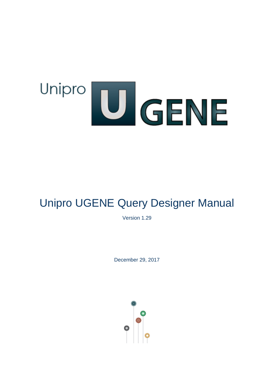# Unipro UGENE

# Unipro UGENE Query Designer Manual

Version 1.29

December 29, 2017

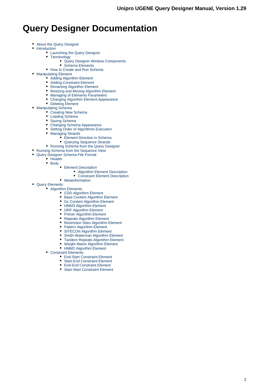# **Query Designer Documentation**

- $\bullet$ [About the Query Designer](#page-1-0)
- $\bullet$ [Introduction](#page-2-0)
	- [Launching the Query Designer](#page-3-0)
	- [Terminology](#page-4-0)
		- [Query Designer Window Components](#page-4-1)
		- [Schema Elements](#page-4-2)
	- [How to Create and Run Schema](#page-5-0)
- [Manipulating Element](#page-8-0)
	- [Adding Algorithm Element](#page-9-0)
	- [Adding Constraint Element](#page-9-1)
	- [Renaming Algorithm Element](#page-10-0)
	- [Resizing and Moving Algorithm Element](#page-10-1)
	- [Managing of Elements Parameters](#page-10-2)
	- [Changing Algorithm Element Appearance](#page-11-0)
- [Deleting Element](#page-12-0)
- [Manipulating Schema](#page-12-1)
	- [Creating New Schema](#page-13-0)
	- [Loading Schema](#page-13-1)
	- [Saving Schema](#page-13-2)
	- [Changing Schema Appearance](#page-13-3)
	- [Setting Order of Algorithms Execution](#page-14-0)
	- [Managing Strands](#page-14-1)
		- **[Element Direction in Schema](#page-15-0)**
		- [Querying Sequence Strands](#page-15-1)
	- [Running Schema from the Query Designer](#page-16-0)
- [Running Schema from the Sequence View](#page-16-1)
	- [Query Designer Schema File Format](#page-18-0)
	- [Header](#page-19-0)
		- $\bullet$  [Body](#page-19-1)
			- [Element Description](#page-20-0)
				- [Algorithm Element Description](#page-20-1)
				- [Constraint Element Description](#page-21-0)
			- [Metainformation](#page-22-0)
- <span id="page-1-0"></span>[Query Elements](#page-22-1) • [Algorithm Elements](#page-23-0)
	- [CDD Algorithm Element](#page-23-1)
	- [Base Content Algorithm Element](#page-24-0)
	- $\bullet$ [Gc Content Algorithm Element](#page-24-1)
	- [HMM3 Algorithm Element](#page-25-0)
	- [ORF Algorithm Element](#page-26-0)
	- $\bullet$ [Primer Algorithm Element](#page-27-0)
	- [Repeats Algorithm Element](#page-28-0)
	- [Restriction Sites Algorithm Element](#page-29-0)
	- [Pattern Algorithm Element](#page-30-0)
	- [SITECON Algorithm Element](#page-30-1)
	- $\bullet$ [Smith-Waterman Algorithm Element](#page-31-0)
	- [Tandem Repeats Algorithm Element](#page-32-0)
	- [Weight Matrix Algorithm Element](#page-33-0)
	- [HMM2 Algorithm Element](#page-34-0)
	- [Constraint Elements](#page-34-1)
		- [End-Start Constraint Element](#page-35-0)
		- [Start-End Constraint Element](#page-35-1)
		- [End-End Constraint Element](#page-36-0)
		- [Start-Start Constraint Element](#page-37-0)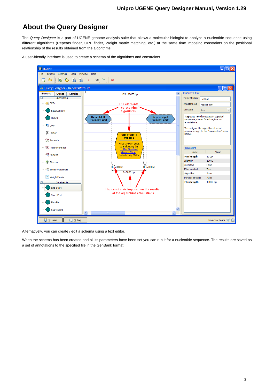# **About the Query Designer**

The Query Designer is a part of UGENE genome analysis suite that allows a molecular biologist to analyze a nucleotide sequence using different algorithms (Repeats finder, ORF finder, Weight matrix matching, etc.) at the same time imposing constraints on the positional relationship of the results obtained from the algorithms.



A user-friendly interface is used to create a schema of the algorithms and constraints.

Alternatively, you can create / edit a schema using a text editor.

<span id="page-2-0"></span>When the schema has been created and all its parameters have been set you can run it for a nucleotide sequence. The results are saved as a set of annotations to the specified file in the GenBank format.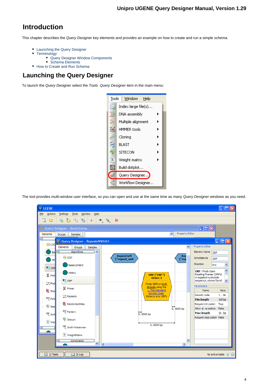# **Introduction**

This chapter describes the Query Designer key elements and provides an example on how to create and run a simple schema.

- [Launching the Query Designer](#page-3-0)
- [Terminology](#page-4-0)
	- [Query Designer Window Components](#page-4-1)
- [Schema Elements](#page-4-2)
- [How to Create and Run Schema](#page-5-0)

# <span id="page-3-0"></span>**Launching the Query Designer**

To launch the Query Designer select the Tools Query Designer item in the main menu:



The tool provides multi-window user interface, so you can open and use at the same time as many Query Designer windows as you need.

| <b>U</b> UGENE                                                                                     | $\Box$ $\Box$ $\times$                              |
|----------------------------------------------------------------------------------------------------|-----------------------------------------------------|
| Eile<br><b>Tools</b><br>Window<br>Actions<br>Settings<br>Help                                      |                                                     |
| ħ<br>● 皇 第<br>ŧ<br>睯<br>$\mathfrak{g}_0$<br>胎<br>Ò<br>Þ<br>□                                       |                                                     |
| 2 Query Designer - NewSchema                                                                       | $\Box$ o $\times$                                   |
| Property Editor<br>Ä<br>Elements<br>Groups<br>Samples                                              |                                                     |
| $\Box$<br>U Query Designer - RepeatsWithOrf                                                        | $\Box$ ek                                           |
| <b>DE</b><br>ㅅ<br>Elements<br>Groups<br>Samples                                                    | <b>Property Editor</b>                              |
| 叵<br>Algorithms<br>$\overline{\phantom{a}}$<br>Bal                                                 | Element Name <sub>ORF</sub>                         |
| <b>Repeat.left</b><br>Rep<br>$\left  \mathbf{CDD}\right $<br>("rep<br>("repeat_unit<br>HN          | Annotate As<br>ORF                                  |
| <b>BaseContent</b><br><b>UD</b> ORF                                                                | <b>Direction</b><br>Any<br>v                        |
| HMM3<br>ORF ("ORF")<br>४ Prim                                                                      | ۸<br>ORF: Finds Open<br>Reading Frames (ORFs)       |
| Order: 2<br>$\blacksquare$ ORF<br>$\infty$ Rep                                                     | in supplied nucleotide<br>sequence, stores found    |
| Finds ORFs in both<br>strands using the<br><b>义 Primer</b>                                         | <b>Parameters</b>                                   |
| 1. The Standard<br><b>R</b> Res<br>Genetic Code                                                    | Value<br>Name<br>Genetic code<br>$1$ de             |
| $\mathbb{Z}$ Repeats<br>Detects only ORFs<br>acc Patt                                              | 100 bp<br>Min length                                |
| <b>RestrictionSites</b><br><sup><i>Q</i></sup> Site                                                | Require init codon<br>True                          |
| $05000$ bp<br><b>ACG</b> Pattern                                                                   | Allow ale codons False<br><b>Max length</b><br>10bp |
| $\overline{0}$ 5000 bp<br>SW <sub>Smi</sub>                                                        | Require stop codon False                            |
| Sitecon<br>$\Sigma$ Wei                                                                            |                                                     |
| 0.5000bp<br>SW Smith-Waterman                                                                      |                                                     |
| $\Sigma$ WeightMatrix                                                                              |                                                     |
| Constraints<br>$\checkmark$<br>⊟<br>M<br>$\rightarrow$<br>$\vert$ <<br>$\mathop{\rm Hil}\nolimits$ |                                                     |
|                                                                                                    |                                                     |
| 2: Tasks<br><b>1</b> 3: Log                                                                        | No active tasks → 圖                                 |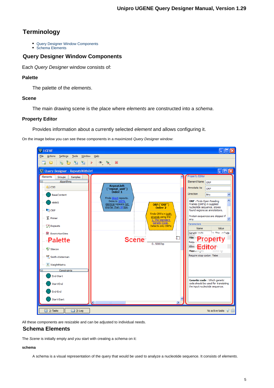# <span id="page-4-0"></span>**Terminology**

- [Query Designer Window Components](#page-4-1)
- [Schema Elements](#page-4-2)

## <span id="page-4-1"></span>**Query Designer Window Components**

Each Query Designer window consists of:

## **Palette**

The palette of the elements.

## **Scene**

The main drawing scene is the place where elements are constructed into a schema.

## **Property Editor**

Provides information about a currently selected element and allows configuring it.

On the image below you can see these components in a maximized Query Designer window:

| <b>U</b> UGENE                                        | $\Box$ o $\textrm{\textsf{K}}$                                                                                     |
|-------------------------------------------------------|--------------------------------------------------------------------------------------------------------------------|
| File<br>Actions<br>Settings<br><b>Tools</b><br>Window | Help                                                                                                               |
| B H<br>陷<br>Ò<br>閊<br>ط                               | $\circledast$ $\circledast$<br>Þ<br>- ‰                                                                            |
| U Query Designer - RepeatsWithOrf                     | $\left\lfloor -\left\lfloor \left\lfloor -\right\rfloor \right\rfloor \right\rfloor \times$                        |
| Elements<br><b>Groups</b><br>Samples                  | <b>Property Editor</b>                                                                                             |
| $\overline{\blacksquare}$<br>Algorithms               | Element Name<br>ORF<br><b>Repeat.left</b>                                                                          |
| <sup>4</sup> CDD                                      | Annotate As<br>ORE<br>("repeat_unit")                                                                              |
| <b>BaseContent</b>                                    | Order: 1<br>Direction<br>Ÿ<br>Any<br>Finds direct repeats.                                                         |
| HMM3                                                  | ۸<br>ORF : Finds Open Reading<br>Detects 100%<br>ORF ("ORF")<br>Frames (ORFs) in supplied<br>identical repeats not |
| <b>L</b> <sub>O</sub> ORF                             | nucleotide sequence, stores<br>shorter than 10 bps.<br>Order: 2<br>found regions as annotations.                   |
|                                                       | Finds ORFs in both<br>Protein sequences are skipped if<br>strands using the                                        |
| <b>区 Primer</b>                                       | any.<br>1. The Standard<br>Genetic Code                                                                            |
| <b>大 Repeats</b>                                      | Parameters<br>Detects only ORFs<br>Value<br>Name                                                                   |
| <b>RestrictionSites</b>                               | 1. The cCode<br>Genetic code                                                                                       |
| <b>Palette</b>                                        | $\overline{05}$<br><b>Min<sub>le</sub></b> Property<br><b>Scene</b><br>Require <sup>1</sup>                        |
|                                                       | $05000$ bp<br>Allow a <b>Editor</b> e                                                                              |
| <sup><i>Q</i></sup> Sitecon                           | 10000 bp<br>Max length                                                                                             |
| SW Smith-Waterman                                     | Require stop codon False                                                                                           |
| $\Sigma$ WeightMatrix                                 |                                                                                                                    |
| Θ<br><b>Constraints</b>                               |                                                                                                                    |
| End-Start                                             |                                                                                                                    |
| Start-End                                             | Genetic code : Which genetic<br>code should be used for translating                                                |
| End-End                                               | the input nucleotide sequence.                                                                                     |
|                                                       |                                                                                                                    |
| Start-Start                                           | $\overline{\mathbf{C}}$<br>$\sim$ 1111                                                                             |
| $2:$ Tasks<br><b>1</b> 3: Log                         | No active tasks $\mathbb{P}$                                                                                       |
|                                                       |                                                                                                                    |

<span id="page-4-2"></span>All these components are resizable and can be adjusted to individual needs.

## **Schema Elements**

The Scene is initially empty and you start with creating a schema on it:

#### **schema**

A schema is a visual representation of the query that would be used to analyze a nucleotide sequence. It consists of elements.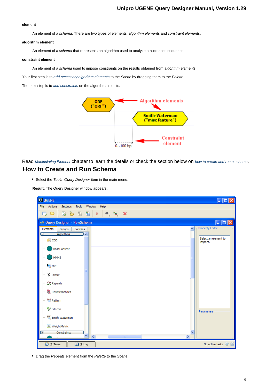#### **element**

An element of a schema. There are two types of elements: algorithm elements and constraint elements.

#### **algorithm element**

An element of a schema that represents an algorithm used to analyze a nucleotide sequence.

#### **constraint element**

An element of a schema used to impose constraints on the results obtained from algorithm elements.

Your first step is to [add necessary algorithm elements](#page-9-0) to the Scene by dragging them to the Palette.

The next step is to [add constraints](#page-9-1) on the algorithms results.



<span id="page-5-0"></span>Read [Manipulating Element](#page-8-0) chapter to learn the details or check the section below on [how to create and run a schema](#page-5-0). **How to Create and Run Schema**

• Select the Tools Query Designer item in the main menu.

**Result:** The Query Designer window appears:

| U UGENE                                                                                     |                     | н                                        |
|---------------------------------------------------------------------------------------------|---------------------|------------------------------------------|
| Settings Tools Window Help<br>File Actions                                                  |                     |                                          |
| r b b b<br>$\circledast$ $\circledast$<br>$\bullet$<br>≫<br>÷<br>$\blacktriangleright$<br>ط |                     |                                          |
| * Query Designer - NewSchema                                                                |                     | $\Box$ o $\times$                        |
| Elements<br>Groups<br>Samples<br>$\overline{\mathbf{v}}$<br>⊟                               | $\hat{\phantom{a}}$ | Property Editor                          |
| <b>Algorithms</b><br><b>图 CDD</b>                                                           |                     | Select an element to<br>inspect.         |
| <b>BaseContent</b>                                                                          |                     |                                          |
| HMM3                                                                                        |                     |                                          |
| $\begin{bmatrix} 1 \\ 0 \end{bmatrix}$ ORF                                                  |                     |                                          |
| & Primer                                                                                    |                     |                                          |
| $\mathbb{Z}$ Repeats                                                                        |                     |                                          |
| <b>R</b> RestrictionSites                                                                   |                     |                                          |
| <b>RCG</b> Pattern                                                                          |                     |                                          |
| <sup>2</sup> Sitecon                                                                        |                     | Parameters                               |
| SW Smith-Waterman                                                                           |                     |                                          |
| $\Sigma$ WeightMatrix                                                                       |                     |                                          |
| <b>Constraints</b><br>$\overline{\mathbf{v}}$<br>$\overline{\left( \right. }%$<br>$\rm HII$ | $\rightarrow$       |                                          |
| $2:$ Tasks<br>DJ 3: Log                                                                     |                     | No active tasks $\mathcal{P} \triangleq$ |

• Drag the Repeats element from the Palette to the Scene.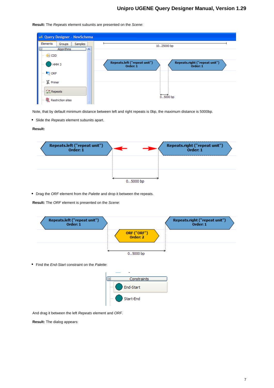

**Result:** The Repeats element subunits are presented on the Scene:

Note, that by default minimum distance between left and right repeats is 0bp, the maximum distance is 5000bp.

• Slide the Repeats element subunits apart.

#### **Result:**



• Drag the ORF element from the Palette and drop it between the repeats.

**Result:** The ORF element is presented on the Scene:



• Find the End-Start constraint on the Palette:



And drag it between the left Repeats element and ORF.

**Result:** The dialog appears: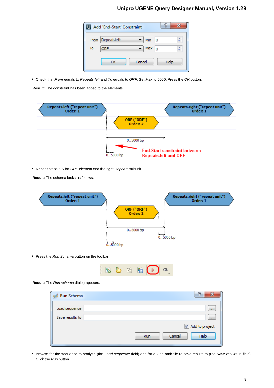|      | U Add 'End-Start' Constraint |          |    | P    |   |
|------|------------------------------|----------|----|------|---|
| From | Repeat.left                  | Min      | -0 |      | ÷ |
| To   | <b>ORF</b>                   | Max $_0$ |    |      | ÷ |
|      | Cancel<br>ок                 |          |    | Help |   |

• Check that From equals to Repeats. left and To equals to ORF. Set Max to 5000. Press the OK button.

**Result:** The constraint has been added to the elements:



• Repeat steps 5-6 for ORF element and the right Repeats subunit.

**Result:** The schema looks as follows:



• Press the Run Schema button on the toolbar:



#### **Result:** The Run schema dialog appears:

| Run Schema<br>z | P<br>×                |
|-----------------|-----------------------|
| Load sequence   | $\cdots$              |
| Save results to | $\cdots$              |
|                 | Add to project        |
|                 | Help<br>Cancel<br>Run |

Browse for the sequence to analyze (the Load sequence field) and for a GenBank file to save results to (the Save results to field). Click the Run button.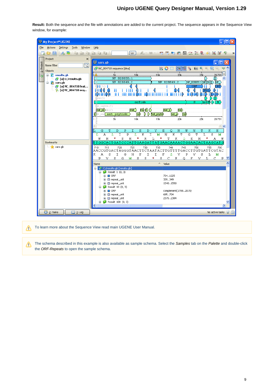**Result:** Both the sequence and the file with annotations are added to the current project. The sequence appears in the Sequence View window, for example:



To learn more about the Sequence View read main UGENE User Manual. Λ

<span id="page-8-0"></span>The schema described in this example is also available as sample schema. Select the Samples tab on the Palette and double-click Λ the ORF-Repeats to open the sample schema.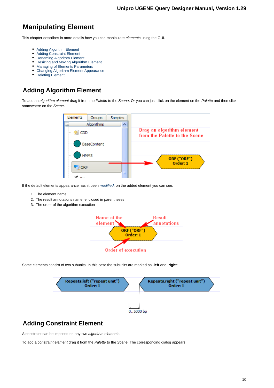# **Manipulating Element**

This chapter describes in more details how you can manipulate elements using the GUI.

- [Adding Algorithm Element](#page-9-0)
- [Adding Constraint Element](#page-9-1)
- [Renaming Algorithm Element](#page-10-0)
- [Resizing and Moving Algorithm Element](#page-10-1)
- [Managing of Elements Parameters](#page-10-2)
- [Changing Algorithm Element Appearance](#page-11-0)
- $\bullet$ [Deleting Element](#page-12-0)

# <span id="page-9-0"></span>**Adding Algorithm Element**

To add an algorithm element drag it from the Palette to the Scene. Or you can just click on the element on the Palette and then click somewhere on the Scene.



If the default elements appearance hasn't been [modified](#page-11-0), on the added element you can see:

- 1. The element name
- 2. The result annotations name, enclosed in parentheses
- 3. The order of the algorithm execution



Some elements consist of two subunits. In this case the subunits are marked as **.left** and **.right**:



# <span id="page-9-1"></span>**Adding Constraint Element**

A constraint can be imposed on any two algorithm elements.

To add a constraint element drag it from the Palette to the Scene. The corresponding dialog appears: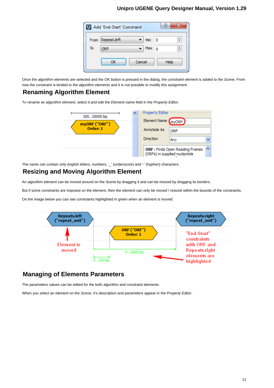|      | U Add 'End-Start' Constraint |            |    | P    |
|------|------------------------------|------------|----|------|
| From | Repeat.left                  | Min        | -0 | ÷    |
| To   | <b>ORF</b>                   | Max $_{0}$ |    | ÷    |
|      | Cancel<br>ок                 |            |    | Help |

Once the algorithm elements are selected and the OK button is pressed in the dialog, the constraint element is added to the Scene. From now the constraint is binded to the algorithm elements and it is not possible to modify this assignment.

## <span id="page-10-0"></span>**Renaming Algorithm Element**

To rename an algorithm element, select it and edit the Element name field in the Property Editor.



<span id="page-10-1"></span>The name can contain only english letters, numbers, '\_' (underscore) and '-' (hyphen) characters.

## **Resizing and Moving Algorithm Element**

An algorithm element can be moved around on the Scene by dragging it and can be resized by dragging its borders.

But if some constraints are imposed on the element, then the element can only be moved / resized within the bounds of the constraints.

On the image below you can see constraints highlighted in green when an element is moved:



## <span id="page-10-2"></span>**Managing of Elements Parameters**

The parameters values can be edited for the both algorithm and constraint elements.

When you select an element on the Scene, it's description and parameters appear in the Property Editor.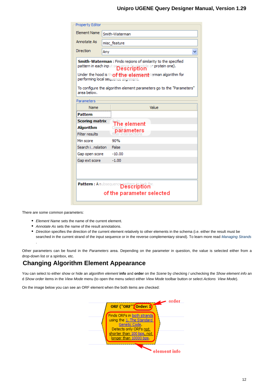| <b>Property Editor</b>                                             |                                                                                                                                                                                                                                                                                                                |
|--------------------------------------------------------------------|----------------------------------------------------------------------------------------------------------------------------------------------------------------------------------------------------------------------------------------------------------------------------------------------------------------|
| <b>Element Name</b>                                                | Smith-Waterman                                                                                                                                                                                                                                                                                                 |
| Annotate As                                                        | misc_feature                                                                                                                                                                                                                                                                                                   |
| Direction                                                          | Any                                                                                                                                                                                                                                                                                                            |
| area below.                                                        | <b>Smith-Waterman:</b> Finds regions of similarity to the specified<br>pattern in each input sequence (audeotide or protein one).<br>Under the hood is thingfithe element terman algorithm for<br>performing local sequence alignment.<br>To configure the algorithm element parameters go to the "Parameters" |
| Parameters                                                         |                                                                                                                                                                                                                                                                                                                |
| Name                                                               | Value                                                                                                                                                                                                                                                                                                          |
| Pattern                                                            |                                                                                                                                                                                                                                                                                                                |
| <b>Scoring matrix</b><br><b>Algorithm</b><br><b>Filter results</b> | The element<br>parameters                                                                                                                                                                                                                                                                                      |
| Min score                                                          | 90%                                                                                                                                                                                                                                                                                                            |
| Search inslation                                                   | False                                                                                                                                                                                                                                                                                                          |
| Gap open score                                                     | $-10.00$                                                                                                                                                                                                                                                                                                       |
| Gap ext score                                                      | $-1.00$                                                                                                                                                                                                                                                                                                        |
|                                                                    | Pattern : A subsequence pattern in the                                                                                                                                                                                                                                                                         |
|                                                                    | of the parameter selected                                                                                                                                                                                                                                                                                      |

There are some common parameters:

- Element Name sets the name of the current element.
- Annotate As sets the name of the result annotations.
- Direction specifies the direction of the current element relatively to other elements in the schema (i.e. either the result must be searched in the current strand of the input sequence or in the reverse complementary strand). To learn more read [Managing Strands](#page-14-1) .

Other parameters can be found in the Parameters area. Depending on the parameter in question, the value is selected either from a drop-down list or a spinbox, etc.

## <span id="page-11-0"></span>**Changing Algorithm Element Appearance**

You can select to either show or hide an algorithm element info and order on the Scene by checking / unchecking the Show element info an d Show order items in the View Mode menu (to open the menu select either View Mode toolbar button or select Actions View Mode).

On the image below you can see an ORF element when the both items are checked:

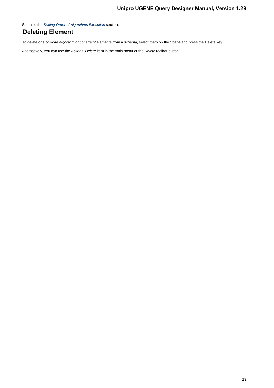See also the [Setting Order of Algorithms Execution](#page-14-0) section.

# <span id="page-12-0"></span>**Deleting Element**

To delete one or more algorithm or constraint elements from a schema, select them on the Scene and press the Delete key.

<span id="page-12-1"></span>Alternatively, you can use the Actions Delete item in the main menu or the Delete toolbar button.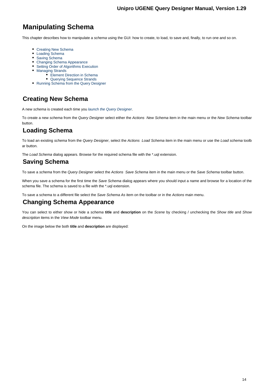# **Manipulating Schema**

This chapter describes how to manipulate a schema using the GUI: how to create, to load, to save and, finally, to run one and so on.

- [Creating New Schema](#page-13-0)
- [Loading Schema](#page-13-1)
- [Saving Schema](#page-13-2)
- [Changing Schema Appearance](#page-13-3)
- [Setting Order of Algorithms Execution](#page-14-0)
- [Managing Strands](#page-14-1)
	- [Element Direction in Schema](#page-15-0) [Querying Sequence Strands](#page-15-1)
- [Running Schema from the Query Designer](#page-16-0)
- <span id="page-13-0"></span>**Creating New Schema**

A new schema is created each time you [launch the Query Designer](#page-3-0).

To create a new schema from the Query Designer select either the Actions New Schema item in the main menu or the New Schema toolbar button.

# <span id="page-13-1"></span>**Loading Schema**

To load an existing schema from the Query Designer, select the Actions Load Schema item in the main menu or use the Load schema toolb ar button.

<span id="page-13-2"></span>The Load Schema dialog appears. Browse for the required schema file with the \*.uql extension.

## **Saving Schema**

To save a schema from the Query Designer select the Actions Save Schema item in the main menu or the Save Schema toolbar button.

When you save a schema for the first time the Save Schema dialog appears where you should input a name and browse for a location of the schema file. The schema is saved to a file with the \*.uql extension.

<span id="page-13-3"></span>To save a schema to a different file select the Save Schema As item on the toolbar or in the Actions main menu.

## **Changing Schema Appearance**

You can select to either show or hide a schema **title** and **description** on the Scene by checking / unchecking the Show title and Show description items in the View Mode toolbar menu.

On the image below the both **title** and **description** are displayed: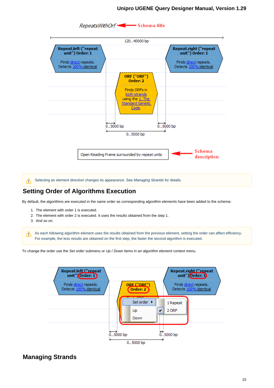

Selecting an element direction changes its appearance. See [Managing Strands](#page-14-1) for details. Δ

## <span id="page-14-0"></span>**Setting Order of Algorithms Execution**

By default, the algorithms are executed in the same order as corresponding algorithm elements have been added to the schema:

- 1. The element with order 1 is executed.
- 2. The element with order 2 is executed. It uses the results obtained from the step 1.
- 3. And so on.

As each following algorithm element uses the results obtained from the previous element, setting the order can affect efficiency. For example, the less results are obtained on the first step, the faster the second algorithm is executed.

To change the order use the Set order submenu or Up / Down items in an algorithm element context menu.



## <span id="page-14-1"></span>**Managing Strands**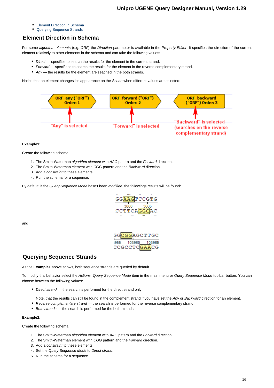- [Element Direction in Schema](#page-15-0)
- [Querying Sequence Strands](#page-15-1)

## <span id="page-15-0"></span>**Element Direction in Schema**

For some algorithm elements (e.g. ORF) the Direction parameter is available in the Property Editor. It specifies the direction of the current element relatively to other elements in the schema and can take the following values:

- Direct specifies to search the results for the element in the current strand.
- Forward specifiesd to search the results for the element in the reverse complementary strand.
- Any the results for the element are seached in the both strands.

Notice that an element changes it's appearance on the Scene when different values are selected:



#### **Example1:**

Create the following schema:

- 1. The Smith-Waterman algorithm element with AAG patern and the Forward direction.
- 2. The Smith-Waterman element with CGG pattern and the Backward direction.
- 3. Add a constraint to these elements.
- 4. Run the schema for a sequence.

By default, if the Query Sequence Mode hasn't been modified, the followings results will be found:



and

GGAGCTTGC 103960 103965 CCGCCTC GAACG

## <span id="page-15-1"></span>**Querying Sequence Strands**

As the **Example1** above shows, both sequence strands are queried by default.

To modify this behavior select the Actions Query Sequence Mode item in the main menu or Query Sequence Mode toolbar button. You can choose between the following values:

- Direct strand the search is performed for the direct strand only.
- Note, that the results can still be found in the complement strand if you have set the Any or Backward direction for an element.
- Reverse complementary strand the search is performed for the reverse complementary strand.
- Both strands the search is performed for the both strands.

#### **Example2:**

Create the following schema:

- 1. The Smith-Waterman algorithm element with AAG patern and the Forward direction.
- 2. The Smith-Waterman element with CGG pattern and the Forward direction.
- 3. Add a constraint to these elements.
- 4. Set the Query Sequence Mode to Direct strand.
- 5. Run the schema for a sequence.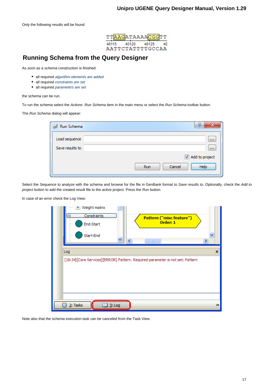

# <span id="page-16-0"></span>**Running Schema from the Query Designer**

As soon as a schema construction is finished:

- all required [algorithm elements are added](#page-9-0)
- all required [constraints are set](#page-9-1)
- all required [parameters are set](#page-10-2)

the schema can be run.

To run the schema select the Actions Run Schema item in the main menu or select the Run Schema toolbar button.

The Run Schema dialog will appear:

| Run Schema      | P<br>x                       |
|-----------------|------------------------------|
| Load sequence   | $\cdots$                     |
| Save results to | $\cdots$                     |
|                 | Add to project               |
|                 | Help<br>Cancel<br><b>Run</b> |

Select the Sequence to analyze with the schema and browse for the file in GenBank format to Save results to. Optionally, check the Add to project button to add the created result file to the active project. Press the Run button.

In case of an error check the Log View:

| <b>Meight matrix</b><br>5.<br><b>Constraints</b><br>ᆸ<br>Pattern ("misc feature")<br>Order: 1<br>End-Start |   |
|------------------------------------------------------------------------------------------------------------|---|
| Start-End<br>∢<br>۶<br>$\mathbf{III}$                                                                      |   |
| Log                                                                                                        | × |
| [18:34][Core Services][ERROR] Pattern. Required parameter is not set: Pattern                              |   |
|                                                                                                            |   |
|                                                                                                            |   |
|                                                                                                            |   |
| 2: Tasks<br>Ø<br>$3:$ Log                                                                                  | ≫ |

<span id="page-16-1"></span>Note also that the schema execution task can be canceled from the Task View.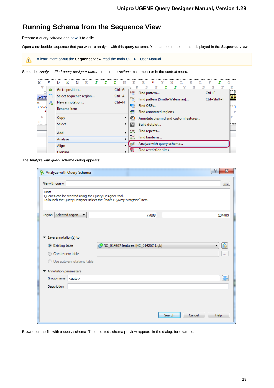# **Running Schema from the Sequence View**

Prepare a query schema and [save](#page-13-2) it to a file.

Open a nucleotide sequence that you want to analyze with this query schema. You can see the sequence displayed in the **Sequence view**.

To learn more about the **Sequence view** read the main UGENE User Manual.Λ

Select the Analyze Find query designer pattern item in the Actions main menu or in the context menu:

| s          | *  | D       | к           | N                      | κ |  | т. | N          | E          | E             | * | Y                                    | N | т. | s | ъ | F                          |         |
|------------|----|---------|-------------|------------------------|---|--|----|------------|------------|---------------|---|--------------------------------------|---|----|---|---|----------------------------|---------|
| v          | ⇨  |         |             | Go to position         |   |  |    | $Ctrl + G$ | <b>ACG</b> |               |   |                                      |   |    | Н | s | s                          | Κ<br>K  |
| <b>GTT</b> | ш  |         |             | Select sequence region |   |  |    | $Ctrl + A$ | <b>SW</b>  | Find pattern  |   |                                      |   |    |   |   | $Ctrl + F$<br>Ctrl+Shift+F | ĀÄ      |
| 75         | Æь |         |             | New annotation         |   |  |    | $Ctrl + N$ |            | Find ORFs     |   | Find pattern [Smith-Waterman]        |   |    |   |   |                            |         |
| <b>CAA</b> |    |         | Rename item |                        |   |  |    |            | ≂          |               |   | Find annotated regions               |   |    |   |   |                            | ΥT<br>F |
| N          |    | Copy    |             |                        |   |  |    | ▶          | ē          |               |   | Annotate plasmid and custom features |   |    |   |   |                            | F       |
| T<br>.     |    | Select  |             |                        |   |  |    |            | 鼮          | Build dotplot |   |                                      |   |    |   |   |                            | .       |
|            |    | Add     |             |                        |   |  |    | r          | ᅌ          | Find repeats  |   |                                      |   |    |   |   |                            |         |
|            |    | Analyze |             |                        |   |  |    |            | K          | Find tandems  |   |                                      |   |    |   |   |                            |         |
|            |    | Align   |             |                        |   |  |    |            |            |               |   | Analyze with query schema            |   |    |   |   |                            |         |
|            |    | Cloning |             |                        |   |  |    |            | 策          |               |   | Find restriction sites               |   |    |   |   |                            |         |

The Analyze with query schema dialog appears:

| Analyze with Query Schema                   |                                                       |                                                                        | P<br>$\mathbf{x}$ |
|---------------------------------------------|-------------------------------------------------------|------------------------------------------------------------------------|-------------------|
| File with query                             |                                                       |                                                                        | $\mathbf{r}$      |
| Hint:                                       | Queries can be created using the Query Designer tool. | To launch the Query Designer select the "Tools > Query Designer" item. |                   |
| Region Selected region                      | ▼                                                     | 77889 -                                                                | 134409            |
| Save annotation(s) to<br>▼<br>Sisting table |                                                       | NC_014267 features [NC_014267.1.gb]                                    | R                 |
|                                             |                                                       |                                                                        |                   |
| Create new table                            |                                                       |                                                                        | <b>COL</b>        |
|                                             | Use auto-annotations table                            |                                                                        |                   |
| Annotation parameters<br>▼                  |                                                       |                                                                        |                   |
| Group name                                  | $\leq$ auto $\geq$                                    |                                                                        | 器                 |
| Description                                 |                                                       |                                                                        |                   |
|                                             |                                                       |                                                                        |                   |
|                                             |                                                       |                                                                        |                   |
|                                             |                                                       |                                                                        |                   |
|                                             |                                                       | Search<br>Cancel                                                       | <b>Help</b>       |
|                                             |                                                       |                                                                        |                   |

Browse for the file with a query schema. The selected schema preview appears in the dialog, for example: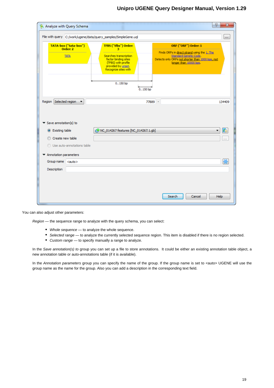|                                                                | File with query C:/work/ugene/data/query_samples/SimpleGene.uql                                                                                                          | m.                                                                                                                                                                           |
|----------------------------------------------------------------|--------------------------------------------------------------------------------------------------------------------------------------------------------------------------|------------------------------------------------------------------------------------------------------------------------------------------------------------------------------|
| TATA-box ("tata-box")<br>Order: 2<br><b>TATA</b>               | TFBS ("tfbs") Order:<br>з<br>Searches transcription<br>factor binding sites<br>(TFBS) with profile<br>provided by unset.<br>Recognize sites with<br>0.150bp<br>$0150$ bp | ORF ("ORF") Order: 1<br>Finds ORFs in direct strand using the 1. The<br>Standard Genetic Code.<br>Detects only ORFs not shorter than 1000 bps, not<br>longer than 10000 bps. |
|                                                                |                                                                                                                                                                          |                                                                                                                                                                              |
| Selected region<br>Region<br>$\overline{\phantom{a}}$          |                                                                                                                                                                          | 77889 -<br>134409                                                                                                                                                            |
| $\blacktriangledown$ Save annotation(s) to<br>◎ Existing table | NC_014267 features [NC_014267.1.gb]                                                                                                                                      | $\mathbb{R}$                                                                                                                                                                 |
| Create new table                                               |                                                                                                                                                                          | $\cdots$                                                                                                                                                                     |
| <b>O</b> Use auto-annotations table                            |                                                                                                                                                                          |                                                                                                                                                                              |
| Annotation parameters                                          |                                                                                                                                                                          |                                                                                                                                                                              |
| Group name <auto></auto>                                       |                                                                                                                                                                          | 器                                                                                                                                                                            |
| Description                                                    |                                                                                                                                                                          |                                                                                                                                                                              |
|                                                                |                                                                                                                                                                          |                                                                                                                                                                              |

You can also adjust other parameters:

Region — the sequence range to analyze with the query schema, you can select:

- Whole sequence to analyze the whole sequence.
- Selected range to analyze the currently selected sequence region. This item is disabled if there is no region selected.
- Custom range to specify manually a range to analyze.

In the Save annotation(s) to group you can set up a file to store annotations. It could be either an existing annotation table object, a new annotation table or auto-annotations table (if it is available).

<span id="page-18-0"></span>In the Annotation parameters group you can specify the name of the group. If the group name is set to <auto> UGENE will use the group name as the name for the group. Also you can add a description in the corresponding text field.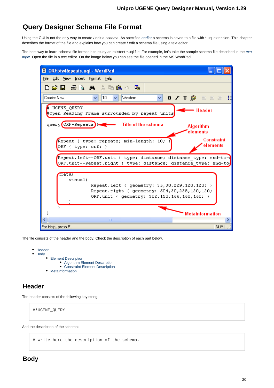# **Query Designer Schema File Format**

Using the GUI is not the only way to create / edit a schema. As specified [earlier](#page-13-2) a schema is saved to a file with \*.uql extension. This chapter describes the format of the file and explains how you can create / edit a schema file using a text editor.

The best way to learn schema file format is to study an existent \*.uql file. For [exa](#page-5-0)mple, let's take the sample schema file described in the exa [mple](#page-5-0). Open the file in a text editor. On the image below you can see the file opened in the MS WordPad.



The file consists of the header and the body. Check the description of each part below.

- [Header](#page-19-0)
	- [Body](#page-19-1) • [Element Description](#page-20-0) [Algorithm Element Description](#page-20-1) [Constraint Element Description](#page-21-0) • [Metainformation](#page-22-0)

## <span id="page-19-0"></span>**Header**

The header consists of the following key string:

#!UGENE\_QUERY

<span id="page-19-1"></span>And the description of the schema:

# Write here the description of the schema.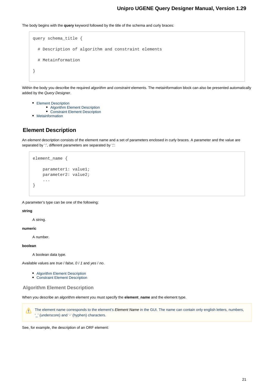The body begins with the **query** keyword followed by the title of the schema and curly braces:

```
query schema_title {
   # Description of algorithm and constraint elements
   # Metainformation
}
```
Within the body you describe the required algorithm and constraint elements. The metainformation block can also be presented automatically added by the Query Designer.

- [Element Description](#page-20-0)
	- [Algorithm Element Description](#page-20-1)
	- [Constraint Element Description](#page-21-0)
- [Metainformation](#page-22-0)

## <span id="page-20-0"></span>**Element Description**

An element description consists of the element name and a set of parameters enclosed in curly braces. A parameter and the value are separated by ':', different parameters are separated by ':':

```
element_name {
     parameter1: value1;
     parameter2: value2;
     ...
}
```
A parameter's type can be one of the following:

#### **string**

A string.

#### **numeric**

A number.

#### **boolean**

A boolean data type.

Available values are true / false, 0 / 1 and yes / no.

- [Algorithm Element Description](#page-20-1)
- [Constraint Element Description](#page-21-0)

## <span id="page-20-1"></span>**Algorithm Element Description**

When you describe an algorithm element you must specify the **element\_name** and the element type.

The element name corresponds to the element's Element Name in the GUI. The name can contain only english letters, numbers, Λ '\_' (underscore) and '-' (hyphen) characters.

See, for example, the description of an ORF element: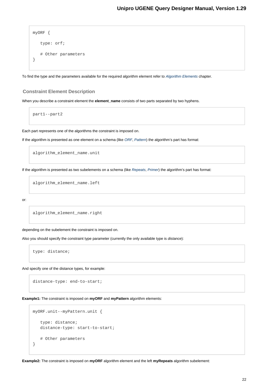```
myORF {
    type: orf;
    # Other parameters
}
```
To find the type and the parameters available for the required algorithm element refer to [Algorithm Elements](#page-23-0) chapter.

#### <span id="page-21-0"></span>**Constraint Element Description**

When you describe a constraint element the **element\_name** consists of two parts separated by two hyphens.

part1--part2

Each part represents one of the algorithms the constraint is imposed on.

If the algorithm is presented as one element on a schema (like [ORF](#page-26-0), [Pattern](#page-30-0)) the algorithm's part has format:

algorithm\_element\_name.unit

If the algorithm is presented as two subelements on a schema (like [Repeats](#page-28-0), [Primer](#page-27-0)) the algorithm's part has format:

algorithm\_element\_name.left

or:

algorithm\_element\_name.right

depending on the subelement the constraint is imposed on.

Also you should specify the constraint type parameter (currently the only available type is distance):

type: distance;

And specify one of the distance types, for example:

distance-type: end-to-start;

**Example1:** The constraint is imposed on **myORF** and **myPattern** algorithm elements:

```
myORF.unit--myPattern.unit {
    type: distance;
    distance-type: start-to-start;
    # Other parameters
}
```
**Example2:** The constraint is imposed on **myORF** algorithm element and the left **myRepeats** algorithm subelement: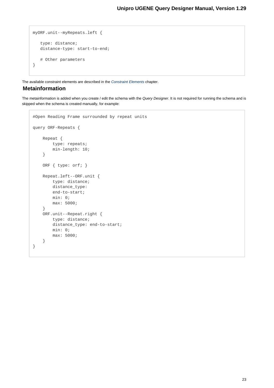```
myORF.unit--myRepeats.left {
    type: distance;
    distance-type: start-to-end;
    # Other parameters
}
```
<span id="page-22-0"></span>The available constraint elements are described in the [Constraint Elements](#page-34-1) chapter.

## **Metainformation**

The metainformation is added when you create / edit the schema with the Query Designer. It is not required for running the schema and is skipped when the schema is created manually, for example:

```
#Open Reading Frame surrounded by repeat units
query ORF-Repeats {
     Repeat {
         type: repeats;
         min-length: 10;
     }
     ORF { type: orf; }
     Repeat.left--ORF.unit {
         type: distance;
         distance_type:
         end-to-start;
         min: 0;
         max: 5000;
     }
     ORF.unit--Repeat.right {
         type: distance;
         distance_type: end-to-start;
         min: 0;
         max: 5000;
     }
}
```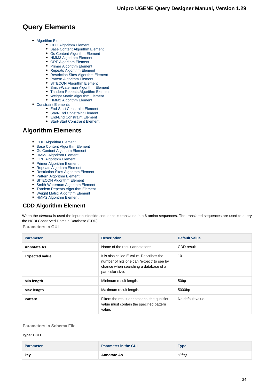# **Query Elements**

- [Algorithm Elements](#page-23-0)
	- [CDD Algorithm Element](#page-23-1)
	- [Base Content Algorithm Element](#page-24-0)
	- [Gc Content Algorithm Element](#page-24-1)
	- [HMM3 Algorithm Element](#page-25-0)
	- [ORF Algorithm Element](#page-26-0)
	- [Primer Algorithm Element](#page-27-0)
	- [Repeats Algorithm Element](#page-28-0)
	- [Restriction Sites Algorithm Element](#page-29-0)
	- [Pattern Algorithm Element](#page-30-0)
	- [SITECON Algorithm Element](#page-30-1)
	- [Smith-Waterman Algorithm Element](#page-31-0)
	- [Tandem Repeats Algorithm Element](#page-32-0) [Weight Matrix Algorithm Element](#page-33-0)
	- [HMM2 Algorithm Element](#page-34-0)
- [Constraint Elements](#page-34-1)
	- - [End-Start Constraint Element](#page-35-0) [Start-End Constraint Element](#page-35-1)
		- [End-End Constraint Element](#page-36-0)
		- [Start-Start Constraint Element](#page-37-0)

## <span id="page-23-0"></span>**Algorithm Elements**

- [CDD Algorithm Element](#page-23-1)
- [Base Content Algorithm Element](#page-24-0)
- [Gc Content Algorithm Element](#page-24-1)
- $\bullet$ [HMM3 Algorithm Element](#page-25-0)
- [ORF Algorithm Element](#page-26-0)
- $\bullet$ [Primer Algorithm Element](#page-27-0)
- $\bullet$ [Repeats Algorithm Element](#page-28-0)
- [Restriction Sites Algorithm Element](#page-29-0)
- [Pattern Algorithm Element](#page-30-0)
- [SITECON Algorithm Element](#page-30-1)
- $\bullet$ [Smith-Waterman Algorithm Element](#page-31-0)
- [Tandem Repeats Algorithm Element](#page-32-0)
- [Weight Matrix Algorithm Element](#page-33-0)
- $\bullet$ [HMM2 Algorithm Element](#page-34-0)

# <span id="page-23-1"></span>**CDD Algorithm Element**

When the element is used the input nucleotide sequence is translated into 6 amino sequences. The translated sequences are used to query the NCBI Conserved Domain Database (CDD).

**Parameters in GUI**

| <b>Parameter</b>      | <b>Description</b>                                                                                                                                 | Default value      |
|-----------------------|----------------------------------------------------------------------------------------------------------------------------------------------------|--------------------|
| <b>Annotate As</b>    | Name of the result annotations.                                                                                                                    | CDD result         |
| <b>Expected value</b> | It is also called E-value. Describes the<br>number of hits one can "expect" to see by<br>chance when searching a database of a<br>particular size. | 10                 |
| Min length            | Minimum result length.                                                                                                                             | 50 <sub>bp</sub>   |
| Max length            | Maximum result length.                                                                                                                             | 5000 <sub>bp</sub> |
| <b>Pattern</b>        | Filters the result annotations: the qualifier<br>value must contain the specified pattern<br>value.                                                | No default value.  |

#### **Parameters in Schema File**

#### **Type:** CDD

| <b>Parameter</b> | <b>Parameter in the GUI</b> | <b>Type</b> |
|------------------|-----------------------------|-------------|
| kev              | <b>Annotate As</b>          | string      |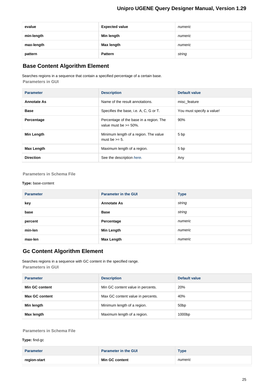| evalue     | <b>Expected value</b> | numeric |
|------------|-----------------------|---------|
| min-length | Min length            | numeric |
| max-length | Max length            | numeric |
| pattern    | <b>Pattern</b>        | string  |

## <span id="page-24-0"></span>**Base Content Algorithm Element**

Searches regions in a sequence that contain a specified percentage of a certain base. **Parameters in GUI**

| <b>Parameter</b>   | <b>Description</b>                                                   | Default value             |
|--------------------|----------------------------------------------------------------------|---------------------------|
| <b>Annotate As</b> | Name of the result annotations.                                      | misc feature              |
| <b>Base</b>        | Specifies the base, i.e. A, C, G or T.                               | You must specify a value! |
| Percentage         | Percentage of the base in a region. The<br>value must be $>= 50\%$ . | 90%                       |
| Min Length         | Minimum length of a region. The value<br>must be $\geq 5$ .          | 5 bp                      |
| Max Length         | Maximum length of a region.                                          | 5 bp                      |
| <b>Direction</b>   | See the description here.                                            | Any                       |

**Parameters in Schema File**

#### **Type:** base-content

| <b>Parameter</b> | <b>Parameter in the GUI</b> | <b>Type</b> |
|------------------|-----------------------------|-------------|
| key              | <b>Annotate As</b>          | string      |
| base             | <b>Base</b>                 | string      |
| percent          | Percentage                  | numeric     |
| min-len          | <b>Min Length</b>           | numeric     |
| max-len          | <b>Max Length</b>           | numeric     |

## <span id="page-24-1"></span>**Gc Content Algorithm Element**

Searches regions in a sequence with GC content in the specified range. **Parameters in GUI**

| <b>Parameter</b>      | <b>Description</b>                | Default value      |
|-----------------------|-----------------------------------|--------------------|
| Min GC content        | Min GC content value in percents. | 20%                |
| <b>Max GC content</b> | Max GC content value in percents. | 40%                |
| Min length            | Minimum length of a region.       | 50 <sub>bp</sub>   |
| Max length            | Maximum length of a region.       | 1000 <sub>bp</sub> |

## **Parameters in Schema File**

**Type:** find-gc

| <b>Parameter</b> | <b>Parameter in the GUI</b> | Type    |
|------------------|-----------------------------|---------|
| region-start     | Min GC content              | numeric |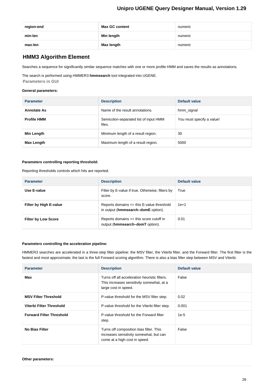| region-end | <b>Max GC content</b> | numeric |
|------------|-----------------------|---------|
| min-len    | Min length            | numeric |
| max-len    | Max length            | numeric |

## <span id="page-25-0"></span>**HMM3 Algorithm Element**

Searches a sequence for significantly similar sequence matches with one or more profile HMM and saves the results as annotations.

The search is performed using HMMER3 **hmmsearch** tool integrated into UGENE. **Parameters in GUI**

#### **General parameters:**

| <b>Parameter</b>   | <b>Description</b>                              | Default value             |
|--------------------|-------------------------------------------------|---------------------------|
| <b>Annotate As</b> | Name of the result annotations.                 | hmm_signal                |
| <b>Profile HMM</b> | Semicolon-separated list of input HMM<br>files. | You must specify a value! |
| Min Length         | Minimum length of a result region.              | 30                        |
| Max Length         | Maximum length of a result region.              | 5000                      |

#### **Parameters controlling reporting threshold:**

Reporting thresholds controls which hits are reported.

| <b>Parameter</b>           | <b>Description</b>                                                                  | Default value |
|----------------------------|-------------------------------------------------------------------------------------|---------------|
| Use E-value                | Filter by E-value if true. Otherwise, filters by<br>score.                          | True          |
| Filter by High E-value     | Reports domains $\leq$ this E-value threshold<br>in output (hmmsearch-domE option). | $1e+1$        |
| <b>Filter by Low Score</b> | Reports domains >= this score cutoff in<br>output (hmmsearch-domT option).          | 0.01          |

#### **Parameters controlling the acceleration pipeline:**

HMMER3 searches are accelerated in a three-step filter pipeline: the MSV filter, the Viterbi filter, and the Forward filter. The first filter is the fastest and most approximate; the last is the full Forward scoring algorithm. There is also a bias filter step between MSV and Viterbi.

| <b>Parameter</b>                | <b>Description</b>                                                                                                  | Default value |
|---------------------------------|---------------------------------------------------------------------------------------------------------------------|---------------|
| Max                             | Turns off all acceleration heuristic filters.<br>This increases sensitivity somewhat, at a<br>large cost in speed.  | False         |
| <b>MSV Filter Threshold</b>     | P-value threshold for the MSV filter step.                                                                          | 0.02          |
| Viterbi Filter Threshold        | P-value threshold for the Viterbi filter step.                                                                      | 0.001         |
| <b>Forward Filter Threshold</b> | P-value threshold for the Forward filter<br>step.                                                                   | $1e-5$        |
| <b>No Bias Filter</b>           | Turns off composition bias filter. This<br>increases sensitivity somewhat, but can<br>come at a high cost in speed. | False         |

#### **Other parameters:**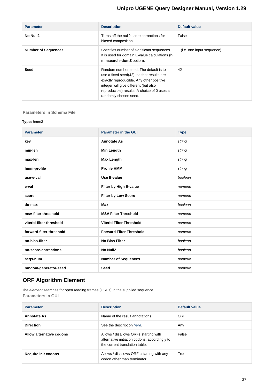| <b>Parameter</b>           | <b>Description</b>                                                                                                                                                                                                                              | Default value               |
|----------------------------|-------------------------------------------------------------------------------------------------------------------------------------------------------------------------------------------------------------------------------------------------|-----------------------------|
| No Null2                   | Turns off the null2 score corrections for<br>biased composition.                                                                                                                                                                                | False                       |
| <b>Number of Sequences</b> | Specifies number of significant sequences.<br>It is used for domain E-value calculations (h<br>mmsearch-domZ option).                                                                                                                           | 1 (i.e. one input sequence) |
| Seed                       | Random number seed. The default is to<br>use a fixed seed(42), so that results are<br>exactly reproducible. Any other positive<br>integer will give different (but also<br>reproducible) results. A choice of 0 uses a<br>randomly chosen seed. | 42                          |

#### **Parameters in Schema File**

#### **Type:** hmm3

| <b>Parameter</b>         | <b>Parameter in the GUI</b>     | <b>Type</b> |
|--------------------------|---------------------------------|-------------|
| key                      | <b>Annotate As</b>              | string      |
| min-len                  | <b>Min Length</b>               | string      |
| max-len                  | <b>Max Length</b>               | string      |
| hmm-profile              | <b>Profile HMM</b>              | string      |
| use-e-val                | Use E-value                     | boolean     |
| e-val                    | Filter by High E-value          | numeric     |
| score                    | <b>Filter by Low Score</b>      | numeric     |
| do-max                   | Max                             | boolean     |
| msv-filter-threshold     | <b>MSV Filter Threshold</b>     | numeric     |
| viterbi-filter-threshold | Viterbi Filter Threshold        | numeric     |
| forward-filter-threshold | <b>Forward Filter Threshold</b> | numeric     |
| no-bias-filter           | <b>No Bias Filter</b>           | boolean     |
| no-score-corrections     | No Null2                        | boolean     |
| seqs-num                 | <b>Number of Sequences</b>      | numeric     |
| random-generator-seed    | <b>Seed</b>                     | numeric     |

## <span id="page-26-0"></span>**ORF Algorithm Element**

The element searches for open reading frames (ORFs) in the supplied sequence. **Parameters in GUI**

| <b>Parameter</b>           | <b>Description</b>                                                                                                       | Default value |
|----------------------------|--------------------------------------------------------------------------------------------------------------------------|---------------|
| <b>Annotate As</b>         | Name of the result annotations.                                                                                          | <b>ORF</b>    |
| <b>Direction</b>           | See the description here.                                                                                                | Any           |
| Allow alternative codons   | Allows / disallows ORFs starting with<br>alternative initiation codons, accordingly to<br>the current translation table. | False         |
| <b>Require init codons</b> | Allows / disallows ORFs starting with any<br>codon other than terminator.                                                | True          |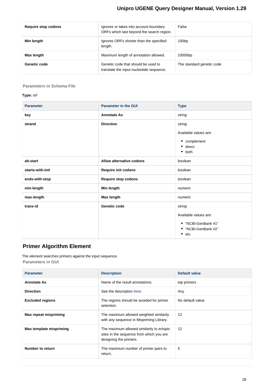| Require stop codons | Ignores or takes into account boundary<br>ORFs which last beyond the search region. | False                     |
|---------------------|-------------------------------------------------------------------------------------|---------------------------|
| Min length          | Ignores ORFs shorter than the specified<br>length.                                  | 100bp                     |
| Max length          | Maximum length of annotation allowed.                                               | 10000bp                   |
| Genetic code        | Genetic code that should be used to<br>translate the input nucleotide sequence.     | The standard genetic code |

## **Parameters in Schema File**

## **Type:** orf

| <b>Parameter</b> | <b>Parameter in the GUI</b> | <b>Type</b>                                                                                |
|------------------|-----------------------------|--------------------------------------------------------------------------------------------|
| key              | <b>Annotate As</b>          | string                                                                                     |
| strand           | <b>Direction</b>            | string<br>Available values are:<br>• complement<br>$\bullet$ direct<br>$\bullet$ both      |
| alt-start        | Allow alternative codons    | boolean                                                                                    |
| starts-with-init | Require init codons         | boolean                                                                                    |
| ends-with-stop   | <b>Require stop codons</b>  | boolean                                                                                    |
| min-length       | Min length                  | numeric                                                                                    |
| max-length       | Max length                  | numeric                                                                                    |
| trans-id         | Genetic code                | string<br>Available values are:<br>• "NCBI-GenBank #1"<br>• "NCBI-GenBank #2"<br>٠<br>etc. |

## <span id="page-27-0"></span>**Primer Algorithm Element**

The element searches primers against the input sequence. **Parameters in GUI**

| <b>Parameter</b>             | <b>Description</b>                                                                                              | Default value     |
|------------------------------|-----------------------------------------------------------------------------------------------------------------|-------------------|
| <b>Annotate As</b>           | Name of the result annotations.                                                                                 | top primers       |
| <b>Direction</b>             | See the description here.                                                                                       | Any               |
| <b>Excluded regions</b>      | The regions should be avoided for primer<br>selection.                                                          | No default value. |
| <b>Max repeat mispriming</b> | The maximum allowed weighted similarity<br>with any sequence in Mispriming Library.                             | 12                |
| Max template mispriming      | The maximum allowed similarity to ectopic<br>sites in the sequence from which you are<br>designing the primers. | $12 \overline{ }$ |
| Number to return             | The maximum number of primer pairs to<br>return.                                                                | 5                 |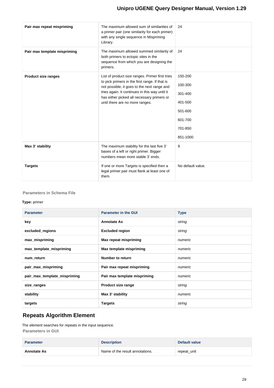| Pair max repeat mispriming   | The maximum allowed sum of similarities of<br>a primer pair (one similarity for each primer)<br>with any single sequence in Mispriming<br>Library. | 24                |
|------------------------------|----------------------------------------------------------------------------------------------------------------------------------------------------|-------------------|
| Pair max template mispriming | The maximum allowed summed similarity of<br>both primers to ectopic sites in the<br>sequence from which you are designing the<br>primers.          | 24                |
| <b>Product size ranges</b>   | List of product size ranges. Primer first tries                                                                                                    | 150-200           |
|                              | to pick primers in the first range. If that is<br>not possible, it goes to the next range and                                                      | 100-300           |
|                              | tries again. It continues in this way until it<br>has either picked all necessary primers or                                                       | 301-400           |
|                              | until there are no more ranges.                                                                                                                    | 401-500           |
|                              |                                                                                                                                                    | 501-600           |
|                              |                                                                                                                                                    | 601-700           |
|                              |                                                                                                                                                    | 701-850           |
|                              |                                                                                                                                                    | 851-1000          |
| Max 3' stability             | The maximum stability for the last five 3'<br>bases of a left or right primer. Bigger<br>numbers mean more stable 3' ends.                         | 9                 |
| <b>Targets</b>               | If one or more Targets is specified then a<br>legal primer pair must flank at least one of<br>them.                                                | No default value. |

#### **Parameters in Schema File**

#### **Type:** primer

| <b>Parameter</b>             | <b>Parameter in the GUI</b>  | <b>Type</b> |
|------------------------------|------------------------------|-------------|
| key                          | <b>Annotate As</b>           | string      |
| excluded_regions             | <b>Excluded region</b>       | string      |
| max_mispriming               | Max repeat mispriming        | numeric     |
| max_template_mispriming      | Max template mispriming      | numeric     |
| num_return                   | Number to return             | numeric     |
| pair_max_mispriming          | Pair max repeat mispriming   | numeric     |
| pair_max_template_mispriming | Pair max template mispriming | numeric     |
| size_ranges                  | Product size range           | string      |
| stability                    | Max 3' stability             | numeric     |
| targets                      | <b>Targets</b>               | string      |

## <span id="page-28-0"></span>**Repeats Algorithm Element**

The element searches for repeats in the input sequence. **Parameters in GUI**

| <b>Parameter</b>   | <b>Description</b>              | Default value |
|--------------------|---------------------------------|---------------|
| <b>Annotate As</b> | Name of the result annotations. | repeat_unit   |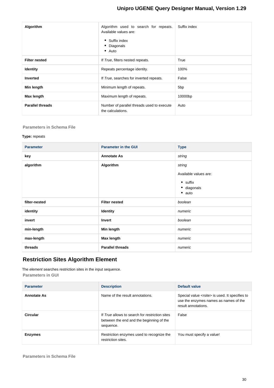| Algorithm               | Algorithm used to search for repeats.<br>Available values are:<br>• Suffix index<br>• Diagonals<br>$\bullet$ Auto | Suffix index    |
|-------------------------|-------------------------------------------------------------------------------------------------------------------|-----------------|
| <b>Filter nested</b>    | If True, filters nested repeats.                                                                                  | True            |
| <b>Identity</b>         | Repeats percentage identity.                                                                                      | 100%            |
| <b>Inverted</b>         | If True, searches for inverted repeats.                                                                           | False           |
| Min length              | Minimum length of repeats.                                                                                        | 5 <sub>bp</sub> |
| Max length              | Maximum length of repeats.                                                                                        | 10000bp         |
| <b>Parallel threads</b> | Number of parallel threads used to execute<br>the calculations.                                                   | Auto            |

#### **Parameters in Schema File**

#### **Type:** repeats

| <b>Parameter</b> | <b>Parameter in the GUI</b> | <b>Type</b>                   |
|------------------|-----------------------------|-------------------------------|
| key              | <b>Annotate As</b>          | string                        |
| algorithm        | Algorithm                   | string                        |
|                  |                             | Available values are:         |
|                  |                             | $\bullet$ suffix              |
|                  |                             | · diagonals<br>$\bullet$ auto |
|                  |                             |                               |
| filter-nested    | <b>Filter nested</b>        | boolean                       |
| identity         | Identity                    | numeric                       |
| invert           | Invert                      | boolean                       |
| min-length       | Min length                  | numeric                       |
| max-length       | Max length                  | numeric                       |
| threads          | <b>Parallel threads</b>     | numeric                       |

## <span id="page-29-0"></span>**Restriction Sites Algorithm Element**

The element searches restriction sites in the input sequence. **Parameters in GUI**

| <b>Parameter</b>   | <b>Description</b>                                                                                      | Default value                                                                                                            |
|--------------------|---------------------------------------------------------------------------------------------------------|--------------------------------------------------------------------------------------------------------------------------|
| <b>Annotate As</b> | Name of the result annotations.                                                                         | Special value <rsite> is used. It specifies to<br/>use the enzymes names as names of the<br/>result annotations.</rsite> |
| Circular           | If True allows to search for restriction sites<br>between the end and the beginning of the<br>sequence. | False                                                                                                                    |
| <b>Enzymes</b>     | Restriction enzymes used to recognize the<br>restriction sites.                                         | You must specify a value!                                                                                                |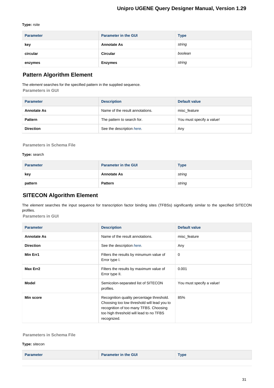#### **Type:** rsite

| <b>Parameter</b> | <b>Parameter in the GUI</b> | <b>Type</b> |
|------------------|-----------------------------|-------------|
| key              | <b>Annotate As</b>          | string      |
| circular         | <b>Circular</b>             | boolean     |
| enzymes          | <b>Enzymes</b>              | string      |

## <span id="page-30-0"></span>**Pattern Algorithm Element**

The element searches for the specified pattern in the supplied sequence.

**Parameters in GUI**

| <b>Parameter</b>   | <b>Description</b>              | Default value             |
|--------------------|---------------------------------|---------------------------|
| <b>Annotate As</b> | Name of the result annotations. | misc feature              |
| <b>Pattern</b>     | The pattern to search for.      | You must specify a value! |
| <b>Direction</b>   | See the description here.       | Any                       |

**Parameters in Schema File**

#### **Type:** search

| <b>Parameter</b> | <b>Parameter in the GUI</b> | <b>Type</b> |
|------------------|-----------------------------|-------------|
| key              | <b>Annotate As</b>          | string      |
| pattern          | <b>Pattern</b>              | string      |

## <span id="page-30-1"></span>**SITECON Algorithm Element**

The element searches the input sequence for transcription factor binding sites (TFBSs) significantly similar to the specified SITECON profiles.

**Parameters in GUI**

| <b>Parameter</b>   | <b>Description</b>                                                                                                                                                                           | Default value             |
|--------------------|----------------------------------------------------------------------------------------------------------------------------------------------------------------------------------------------|---------------------------|
| <b>Annotate As</b> | Name of the result annotations.                                                                                                                                                              | misc feature              |
| <b>Direction</b>   | See the description here.                                                                                                                                                                    | Any                       |
| Min Err1           | Filters the results by minumum value of<br>Error type I.                                                                                                                                     | 0                         |
| Max Err2           | Filters the results by maximum value of<br>Error type II.                                                                                                                                    | 0.001                     |
| <b>Model</b>       | Semicolon-separated list of SITECON<br>profiles.                                                                                                                                             | You must specify a value! |
| Min score          | Recognition quality percentage threshold.<br>Choosing too low threshold will lead you to<br>recognition of too many TFBS. Choosing<br>too high threshold will lead to no TFBS<br>recognized. | 85%                       |

#### **Parameters in Schema File**

**Type:** sitecon

|  | <b>Parameter</b> | <b>Parameter in the GUI</b> | $T$ <sub>V</sub> pe |
|--|------------------|-----------------------------|---------------------|
|--|------------------|-----------------------------|---------------------|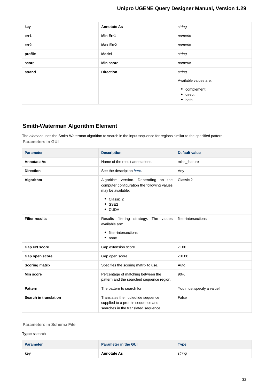| key     | <b>Annotate As</b> | string                |
|---------|--------------------|-----------------------|
| err1    | Min Err1           | numeric               |
| err2    | Max Err2           | numeric               |
| profile | <b>Model</b>       | string                |
| score   | <b>Min score</b>   | numeric               |
| strand  | <b>Direction</b>   | string                |
|         |                    | Available values are: |
|         |                    | • complement          |
|         |                    | $\bullet$ direct      |
|         |                    | $\bullet$ both        |

## <span id="page-31-0"></span>**Smith-Waterman Algorithm Element**

The element uses the Smith-Waterman algorithm to search in the input sequence for regions similar to the specified pattern. **Parameters in GUI**

| <b>Parameter</b>      | <b>Description</b>                                                                                                                                                 | <b>Default value</b>      |
|-----------------------|--------------------------------------------------------------------------------------------------------------------------------------------------------------------|---------------------------|
| <b>Annotate As</b>    | Name of the result annotations.                                                                                                                                    | misc_feature              |
| <b>Direction</b>      | See the description here.                                                                                                                                          | Any                       |
| Algorithm             | Algorithm version. Depending on the<br>computer configuration the following values<br>may be available:<br>$\bullet$ Classic 2<br>$\bullet$ SSE2<br>$\bullet$ CUDA | Classic 2                 |
| <b>Filter results</b> | Results filtering strategy. The values<br>available are:<br>• filter-intersections<br>$•$ none                                                                     | filter-intersections      |
| Gap ext score         | Gap extension score.                                                                                                                                               | $-1.00$                   |
| Gap open score        | Gap open score.                                                                                                                                                    | $-10.00$                  |
| <b>Scoring matrix</b> | Specifies the scoring matrix to use.                                                                                                                               | Auto                      |
| Min score             | Percentage of matching between the<br>pattern and the searched sequence region.                                                                                    | 90%                       |
| <b>Pattern</b>        | The pattern to search for.                                                                                                                                         | You must specify a value! |
| Search in translation | Translates the nucleotide sequence<br>supplied to a protein sequence and<br>searches in the translated sequence.                                                   | False                     |

#### **Parameters in Schema File**

#### **Type:** ssearch

| <b>Parameter</b> | <b>Parameter in the GUI</b> | $_{\rm \bf Type}$ |
|------------------|-----------------------------|-------------------|
| kev              | <b>Annotate As</b>          | string            |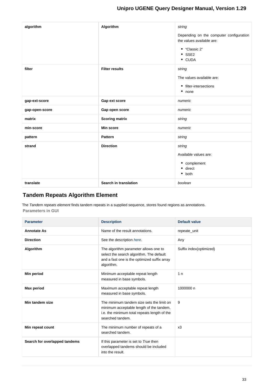| algorithm      | Algorithm             | string                                                               |
|----------------|-----------------------|----------------------------------------------------------------------|
|                |                       | Depending on the computer configuration<br>the values available are: |
|                |                       | • "Classic 2"<br>$\bullet$ SSE2<br>• CUDA                            |
| filter         | <b>Filter results</b> | string                                                               |
|                |                       | The values available are:                                            |
|                |                       | • filter-intersections<br>$\bullet$ none                             |
| gap-ext-score  | Gap ext score         | numeric                                                              |
| gap-open-score | Gap open score        | numeric                                                              |
| matrix         | <b>Scoring matrix</b> | string                                                               |
| min-score      | <b>Min score</b>      | numeric                                                              |
| pattern        | <b>Pattern</b>        | string                                                               |
| strand         | <b>Direction</b>      | string                                                               |
|                |                       | Available values are:                                                |
|                |                       | • complement                                                         |
|                |                       | • direct<br>$\bullet$ both                                           |
| translate      | Search in translation | boolean                                                              |

## <span id="page-32-0"></span>**Tandem Repeats Algorithm Element**

The Tandem repeats element finds tandem repeats in a supplied sequence, stores found regions as annotations. **Parameters in GUI**

| <b>Parameter</b>              | <b>Description</b>                                                                                                                                        | <b>Default value</b>    |
|-------------------------------|-----------------------------------------------------------------------------------------------------------------------------------------------------------|-------------------------|
| <b>Annotate As</b>            | Name of the result annotations.                                                                                                                           | repeate_unit            |
| <b>Direction</b>              | See the description here.                                                                                                                                 | Any                     |
| <b>Algorithm</b>              | The algorithm parameter allows one to<br>select the search algorithm. The default<br>and a fast one is the optimized suffix array<br>algorithm.           | Suffix index(optimized) |
| Min period                    | Minimum acceptable repeat length<br>measured in base symbols.                                                                                             | 1 <sub>n</sub>          |
| <b>Max period</b>             | Maximum acceptable repeat length<br>measured in base symbols.                                                                                             | 1000000 n               |
| Min tandem size               | The minimum tandem size sets the limit on<br>minimum acceptable length of the tandem,<br>i.e. the minimum total repeats length of the<br>searched tandem. | 9                       |
| Min repeat count              | The minimum number of repeats of a<br>searched tandem.                                                                                                    | x3                      |
| Search for overlapped tandems | If this parameter is set to True then<br>overlapped tandems should be included<br>into the result.                                                        |                         |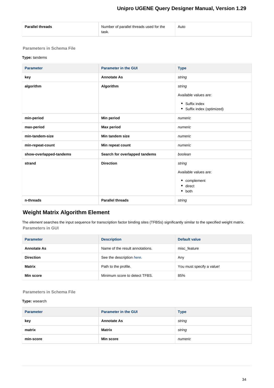| Number of parallel threads used for the<br><b>Parallel threads</b><br>Auto<br>task. |  |
|-------------------------------------------------------------------------------------|--|
|-------------------------------------------------------------------------------------|--|

## **Parameters in Schema File**

## **Type:** tandems

| <b>Parameter</b>        | <b>Parameter in the GUI</b>   | <b>Type</b>                                                                     |
|-------------------------|-------------------------------|---------------------------------------------------------------------------------|
| key                     | <b>Annotate As</b>            | string                                                                          |
| algorithm               | Algorithm                     | string<br>Available values are:<br>• Suffix index<br>• Suffix index (optimized) |
| min-period              | Min period                    | numeric                                                                         |
| max-period              | <b>Max period</b>             | numeric                                                                         |
| min-tandem-size         | Min tandem size               | numeric                                                                         |
| min-repeat-count        | Min repeat count              | numeric                                                                         |
| show-overlapped-tandems | Search for overlapped tandems | boolean                                                                         |
| strand                  | <b>Direction</b>              | string<br>Available values are:<br>• complement<br>direct<br>٠<br>both<br>٠     |
| n-threads               | <b>Parallel threads</b>       | string                                                                          |

# <span id="page-33-0"></span>**Weight Matrix Algorithm Element**

The element searches the input sequence for transcription factor binding sites (TFBSs) significantly similar to the specified weight matrix. **Parameters in GUI**

| <b>Parameter</b>   | <b>Description</b>              | Default value             |
|--------------------|---------------------------------|---------------------------|
| <b>Annotate As</b> | Name of the result annotations. | misc feature              |
| <b>Direction</b>   | See the description here.       | Any                       |
| <b>Matrix</b>      | Path to the profile.            | You must specify a value! |
| Min score          | Minimum score to detect TFBS.   | 85%                       |

## **Parameters in Schema File**

### **Type:** wsearch

| <b>Parameter</b> | <b>Parameter in the GUI</b> | <b>Type</b> |
|------------------|-----------------------------|-------------|
| key              | <b>Annotate As</b>          | string      |
| matrix           | Matrix                      | string      |
| min-score        | <b>Min score</b>            | numeric     |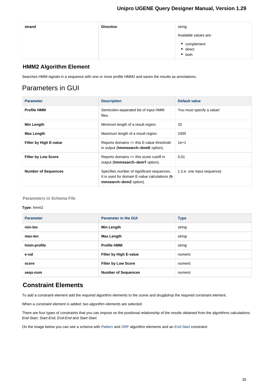| strand | <b>Direction</b> | string                                     |
|--------|------------------|--------------------------------------------|
|        |                  | Available values are:                      |
|        |                  | • complement<br>• direct<br>$\bullet$ both |

## <span id="page-34-0"></span>**HMM2 Algorithm Element**

Searches HMM signals in a sequence with one or more profile HMM2 and saves the results as annotations.

# Parameters in GUI

| <b>Parameter</b>              | <b>Description</b>                                                                                                    | Default value               |
|-------------------------------|-----------------------------------------------------------------------------------------------------------------------|-----------------------------|
| <b>Profile HMM</b>            | Semicolon-separated list of input HMM<br>files.                                                                       | You must specify a value!   |
| Min Length                    | Minimum length of a result region.                                                                                    | 10                          |
| <b>Max Length</b>             | Maximum length of a result region.                                                                                    | 1000                        |
| <b>Filter by High E-value</b> | Reports domains $\leq$ this E-value threshold<br>in output (hmmsearch-domE option).                                   | $1e+1$                      |
| <b>Filter by Low Score</b>    | Reports domains $>=$ this score cutoff in<br>output (hmmsearch-domT option).                                          | 0.01                        |
| <b>Number of Sequences</b>    | Specifies number of significant sequences.<br>It is used for domain E-value calculations (h<br>mmsearch-domZ option). | 1 (i.e. one input sequence) |

#### **Parameters in Schema File**

#### **Type:** hmm2

| <b>Parameter</b> | <b>Parameter in the GUI</b> | <b>Type</b> |
|------------------|-----------------------------|-------------|
| min-len          | Min Length                  | string      |
| max-len          | Max Length                  | string      |
| hmm-profile      | <b>Profile HMM</b>          | string      |
| e-val            | Filter by High E-value      | numeric     |
| score            | <b>Filter by Low Score</b>  | numeric     |
| segs-num         | <b>Number of Sequences</b>  | numeric     |

# <span id="page-34-1"></span>**Constraint Elements**

To add a constraint element add the required algorithm elements to the scene and drug&drop the required constraint element.

When a constraint element is added, two algorithm elements are selected.

There are four types of constraints that you can impose on the positional relationship of the results obtained from the algorithms calculations: End-Start, Start-End, End-End and Start-Start.

On the image below you can see a schema with [Pattern](#page-30-0) and [ORF](#page-26-0) algorithm elements and an [End-Start](#page-35-0) constraint: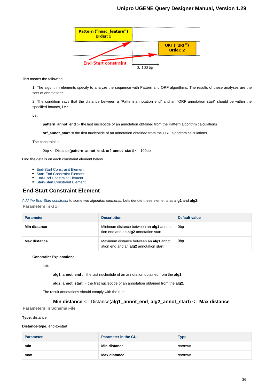![](_page_35_Figure_1.jpeg)

This means the following:

1. The algorithm elements specify to analyze the sequence with Pattern and ORF algorithms. The results of these analyses are the sets of annotations.

2. The condition says that the distance between a "Pattern annotation end" and an "ORF annotation start" should be within the specified bounds, i.e.:

Let:

**pattern\_annot\_end** := the last nucleotide of an annotation obtained from the Pattern algorithm calculations

**orf\_annot\_start** := the first nucleotide of an annotation obtained from the ORF algorithm calculations

The constraint is:

0bp <= Distance(**pattern\_annot\_end**, **orf\_annot\_start**) <= 100bp

Find the details on each constraint element below.

- [End-Start Constraint Element](#page-35-0)
- [Start-End Constraint Element](#page-35-1)
- [End-End Constraint Element](#page-36-0)
- [Start-Start Constraint Element](#page-37-0)

## <span id="page-35-0"></span>**End-Start Constraint Element**

[Add the End-Start constraint](#page-9-1) to some two algorithm elements. Lets denote these elements as **alg1** and **alg2**. **Parameters in GUI**

| <b>Parameter</b> | <b>Description</b>                                                                | Default value   |
|------------------|-----------------------------------------------------------------------------------|-----------------|
| Min distance     | Minimum distance between an alg1 annota<br>tion end and an alg2 annotation start. | 0 <sub>bp</sub> |
| Max distance     | Maximum distance between an alg1 annot<br>ation end and an alg2 annotation start. | 0 <sub>bp</sub> |

#### **Constraint Explanation:**

Let:

**alg1\_annot\_end** := the last nucleotide of an annotation obtained from the **alg1**.

**alg2\_annot\_start** := the first nucleotide of an annotation obtained from the **alg2**.

The result annotations should comply with the rule:

#### **Min distance** <= Distance(**alg1\_annot\_end**, **alg2\_annot\_start**) <= **Max distance**

**Parameters in Schema File**

#### **Type:** distance

**Distance-type:** end-to-start

<span id="page-35-1"></span>

| <b>Parameter</b> | <b>Parameter in the GUI</b> | <b>Type</b> |
|------------------|-----------------------------|-------------|
| min              | <b>Min distance</b>         | numeric     |
| max              | <b>Max distance</b>         | numeric     |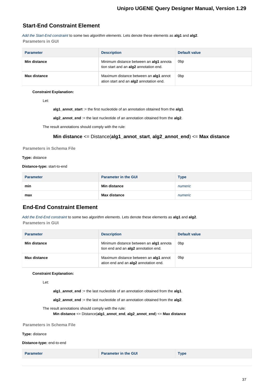## **Start-End Constraint Element**

[Add the Start-End constraint](#page-9-1) to some two algorithm elements. Lets denote these elements as **alg1** and **alg2**. **Parameters in GUI**

| <b>Parameter</b> | <b>Description</b>                                                                | Default value   |
|------------------|-----------------------------------------------------------------------------------|-----------------|
| Min distance     | Minimum distance between an alg1 annota<br>tion start and an alg2 annotation end. | 0 <sub>bp</sub> |
| Max distance     | Maximum distance between an alg1 annot<br>ation start and an alg2 annotation end. | 0 <sub>bp</sub> |

#### **Constraint Explanation:**

Let:

**alg1\_annot\_start** := the first nucleotide of an annotation obtained from the **alg1**.

**alg2\_annot\_end** := the last nucleotide of an annotation obtained from the **alg2**.

The result annotations should comply with the rule:

#### **Min distance** <= Distance(**alg1\_annot\_start**, **alg2\_annot\_end**) <= **Max distance**

**Parameters in Schema File**

#### **Type:** distance

**Distance-type:** start-to-end

| <b>Parameter</b> | <b>Parameter in the GUI</b> | <b>Type</b> |
|------------------|-----------------------------|-------------|
| min              | <b>Min distance</b>         | numeric     |
| max              | <b>Max distance</b>         | numeric     |

## <span id="page-36-0"></span>**End-End Constraint Element**

[Add the End-End constraint](#page-9-1) to some two algorithm elements. Lets denote these elements as **alg1** and **alg2**. **Parameters in GUI**

| <b>Parameter</b> | <b>Description</b>                                                                     | Default value   |
|------------------|----------------------------------------------------------------------------------------|-----------------|
| Min distance     | Minimum distance between an alg1 annota<br>tion end and an alg2 annotation end.        | 0 <sub>bp</sub> |
| Max distance     | Maximum distance between an <b>alg1</b> annot<br>ation end and an alg2 annotation end. | 0 <sub>bp</sub> |

#### **Constraint Explanation:**

Let:

**alg1\_annot\_end** := the last nucleotide of an annotation obtained from the **alg1**.

**alg2\_annot\_end** := the last nucleotide of an annotation obtained from the **alg2**.

The result annotations should comply with the rule:

**Min distance** <= Distance(**alg1\_annot\_end**, **alg2\_annot\_end**) <= **Max distance**

**Parameters in Schema File**

#### **Type:** distance

**Distance-type:** end-to-end

**Parameter Parameter Parameter** in the GUI **Type**